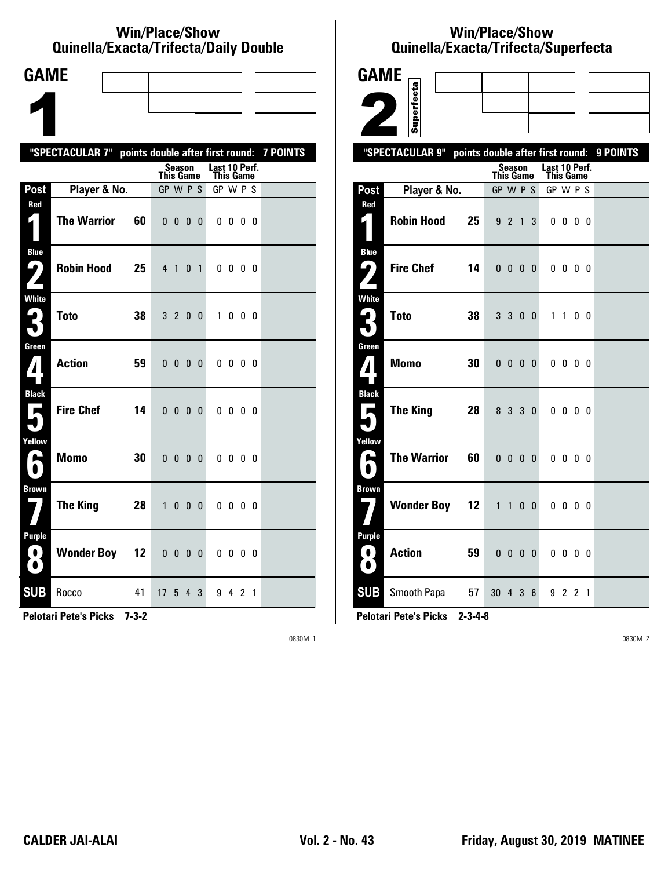#### **Win/Place/Show Qui nel la/Exacta/Tri fecta/Daily Dou ble**

| <b>GAME</b>                                                                 |                                                           |    |                 |                          |                |              |                            |                          |     |     |  |
|-----------------------------------------------------------------------------|-----------------------------------------------------------|----|-----------------|--------------------------|----------------|--------------|----------------------------|--------------------------|-----|-----|--|
|                                                                             |                                                           |    |                 |                          |                |              |                            |                          |     |     |  |
|                                                                             |                                                           |    |                 |                          |                |              |                            |                          |     |     |  |
|                                                                             | "SPECTACULAR 7" points double after first round: 7 POINTS |    |                 |                          |                |              |                            |                          |     |     |  |
|                                                                             |                                                           |    | This Game       | Season                   |                |              | Last 10 Perf.<br>This Game |                          |     |     |  |
| Post                                                                        | Player & No.                                              |    | GP W P S        |                          |                |              | GP W P S                   |                          |     |     |  |
| Red<br>$\blacklozenge$                                                      | <b>The Warrior</b>                                        | 60 |                 | $0\quad 0\quad 0$        |                | 0            |                            | $0\,0\,0\,0$             |     |     |  |
| <b>Blue</b><br>ŋ<br>$\mathbf{Z}$                                            | <b>Robin Hood</b>                                         | 25 | 4 <sub>1</sub>  |                          | 0 <sub>1</sub> |              |                            | 0000                     |     |     |  |
| White<br>2<br>۷.                                                            | <b>Toto</b>                                               | 38 |                 | 320                      |                | - 0          | $\mathbf{1}$               |                          | 000 |     |  |
| Green<br>$\mathbf{Z}$                                                       | <b>Action</b>                                             | 59 |                 | $0\quad 0\quad 0\quad 0$ |                |              |                            | $0\,0\,0\,0$             |     |     |  |
| <b>Black</b><br>$\blacksquare$                                              | <b>Fire Chef</b>                                          | 14 |                 | $0\quad 0\quad 0\quad 0$ |                |              |                            | $0\quad 0\quad 0\quad 0$ |     |     |  |
| Yellow<br>A                                                                 | <b>Momo</b>                                               | 30 | 0 <sub>0</sub>  |                          | 0 <sub>0</sub> |              |                            | $0\,0\,0\,0$             |     |     |  |
| <b>Brown</b>                                                                | <b>The King</b>                                           | 28 | $\mathbf{1}$    | 0                        | $\mathbf{0}$   | $\mathbf{0}$ |                            | $0\,0\,0\,0$             |     |     |  |
| <b>Purple</b><br>$\left( \begin{array}{c} \bullet \end{array} \right)$<br>O | <b>Wonder Boy 12</b>                                      |    |                 | $0\ 0\ 0\ 0$             |                |              |                            | 0000                     |     |     |  |
| <b>SUB</b>                                                                  | Rocco                                                     | 41 | 17 <sup>2</sup> | 5                        | 4              | 3            |                            | 942                      |     | - 1 |  |

**Pelotari Pete's Picks 7-3-2**

0830M 1

## **Win/Place/Show Qui nel la/Exacta/Tri fecta/Super fecta**

| <b>GAME</b>         |                                                     |    |                  |                               |                |   |                                   |                          |  |          |
|---------------------|-----------------------------------------------------|----|------------------|-------------------------------|----------------|---|-----------------------------------|--------------------------|--|----------|
|                     |                                                     |    |                  |                               |                |   |                                   |                          |  |          |
|                     | Superfecta                                          |    |                  |                               |                |   |                                   |                          |  |          |
|                     | "SPECTACULAR 9"<br>points double after first round: |    |                  |                               |                |   |                                   |                          |  | 9 POINTS |
|                     |                                                     |    | <b>This Game</b> | Season                        |                |   | Last 10 Perf.<br><b>This Game</b> |                          |  |          |
| Post                | Player & No.                                        |    | GP W P S         |                               |                |   | GP W P S                          |                          |  |          |
| Red                 |                                                     |    |                  |                               |                |   |                                   |                          |  |          |
| 4                   | <b>Robin Hood</b>                                   | 25 |                  | 921                           |                | 3 |                                   | $0\,0\,0\,0$             |  |          |
| <b>Blue</b><br>ر ما | <b>Fire Chef</b>                                    | 14 |                  | $0\quad 0\quad 0\quad 0\quad$ |                |   |                                   | $0\,0\,0\,0$             |  |          |
|                     |                                                     |    |                  |                               |                |   |                                   |                          |  |          |
| <b>White</b>        |                                                     |    |                  |                               |                |   |                                   |                          |  |          |
| 4                   | <b>Toto</b>                                         | 38 |                  | 3 3 0 0                       |                |   |                                   | 1 1 0 0                  |  |          |
| Green               |                                                     |    |                  |                               |                |   |                                   |                          |  |          |
| 7                   | <b>Momo</b>                                         | 30 |                  | $0\quad 0\quad 0\quad 0$      |                |   |                                   | $0\,0\,0\,0$             |  |          |
| <b>Black</b>        |                                                     |    |                  |                               |                |   |                                   |                          |  |          |
| Е                   | <b>The King</b>                                     | 28 |                  | 8 3 3 0                       |                |   |                                   | $0\quad 0\quad 0\quad 0$ |  |          |
| Yellow              |                                                     |    |                  |                               |                |   |                                   |                          |  |          |
| е                   | <b>The Warrior</b>                                  | 60 |                  | $0\quad 0\quad 0\quad 0$      |                |   |                                   | $0\,0\,0\,0$             |  |          |
| Brown               |                                                     |    |                  |                               |                |   |                                   |                          |  |          |
|                     | <b>Wonder Boy 12</b>                                |    |                  | 1 1 0 0                       |                |   |                                   | $0\,0\,0\,0$             |  |          |
| <b>Purple</b>       |                                                     |    |                  |                               |                |   |                                   |                          |  |          |
| 0<br>$\bullet$      | <b>Action</b>                                       | 59 | 0 <sub>0</sub>   |                               | 0 <sub>0</sub> |   |                                   | $0\,0\,0\,0$             |  |          |
| <b>SUB</b>          | Smooth Papa                                         | 57 | 30 4 3 6         |                               |                |   |                                   | 9 2 2 1                  |  |          |

**Pelotari Pete's Picks 2-3-4-8**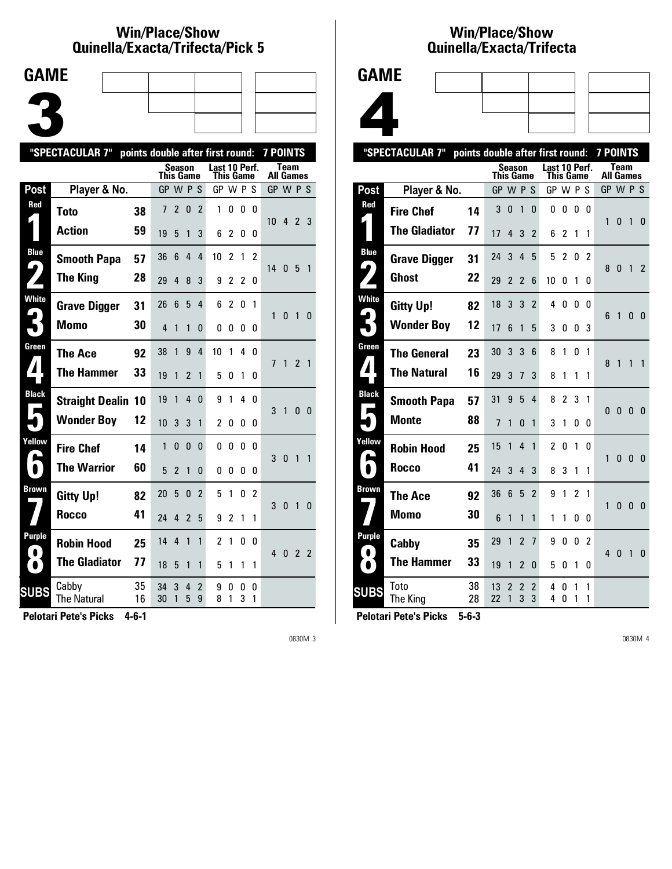## **Win/Place/Show Qui nel la/Exacta/Tri fecta/Pick 5**

| <b>GAME</b> |  |  |
|-------------|--|--|
|             |  |  |
|             |  |  |
|             |  |  |

|                       | "SPECTACULAR 7"             |          |           |                |              |                     | points double after first round: |                |                |        | <b>7 POINTS</b> |              |                |                          |
|-----------------------|-----------------------------|----------|-----------|----------------|--------------|---------------------|----------------------------------|----------------|----------------|--------|-----------------|--------------|----------------|--------------------------|
|                       |                             |          | This Game | Season         |              |                     | Last 10 Perf.<br>This Game       |                |                |        | All Games       | <b>Team</b>  |                |                          |
| Post                  | Player & No.                |          | GP W P S  |                |              |                     | GP W P S                         |                |                |        | GP W P S        |              |                |                          |
| Red                   | <b>Toto</b>                 | 38       | 7         | $\overline{2}$ | $\mathbf{0}$ | $\overline{2}$      | 1                                | 0              | 0              | 0      | $10-10$         |              | 423            |                          |
|                       | <b>Action</b>               | 59       | 19        | 5              | 1            | 3                   | 6                                | 2              | 0              | 0      |                 |              |                |                          |
| <b>Blue</b>           | <b>Smooth Papa</b>          | 57       | 36        | 6              | 4            | 4                   | 10                               | $\overline{2}$ | 1              | 2      |                 |              |                |                          |
| $\blacktriangleright$ | <b>The King</b>             | 28       | 29        | 4              | 8            | 3                   | 9                                | $\overline{2}$ | $\overline{2}$ | 0      | 14 <sub>0</sub> |              | 5 1            |                          |
| <b>White</b>          | <b>Grave Digger</b>         | 31       | 26        | 6              | 5            | 4                   | 6                                | $\overline{c}$ | 0              | 1      | 1               | 0            | 1              |                          |
|                       | <b>Momo</b>                 | 30       | 4         | 1              | 1            | 0                   | 0                                | 0              | 0              | 0      |                 |              |                | - 0                      |
| Green                 | <b>The Ace</b>              | 92       | 38        | 1              | 9            | 4                   | 10                               | 1              | 4              | n      | 7               | 1            | $\mathfrak{p}$ | $\overline{\phantom{0}}$ |
|                       | <b>The Hammer</b>           | 33       | 19        | 1              | 2            | 1                   | 5                                | 0              | 1              | 0      |                 |              |                |                          |
| <b>Black</b>          | <b>Straight Dealin 10</b>   |          | 19        | 1              | 4            | $\Omega$            | 9                                | 1              | 4              | n      | 3               | $\mathbf{1}$ | 0              | - 0                      |
|                       | <b>Wonder Boy</b>           | 12       | 10        | 3              | 3            | $\mathbf{1}$        | $\overline{2}$                   | 0              | 0              | 0      |                 |              |                |                          |
| Yellow                | <b>Fire Chef</b>            | 14       | 1         | 0              | $\mathbf{0}$ | $\Omega$            | 0                                | $\mathbf{0}$   | 0              | U      | 3               | $\mathbf{0}$ | 1              | $\overline{1}$           |
| $\bullet$             | <b>The Warrior</b>          | 60       | 5         | $\overline{2}$ | $\mathbf{1}$ | 0                   | 0                                | 0              | 0              | 0      |                 |              |                |                          |
| Brown                 | <b>Gitty Up!</b>            | 82       | 20        | 5              | $\mathbf{0}$ | $\overline{2}$      | 5                                | 1              | 0              | 2      | 3               | $\mathbf{0}$ | 1              | $\mathbf{0}$             |
|                       | Rocco                       | 41       | 24        | 4              | 2            | 5                   | 9                                | $\overline{2}$ | 1              | 1      |                 |              |                |                          |
| Purple                | <b>Robin Hood</b>           | 25       | 14        | 4              | 1            | 1                   | $\overline{c}$                   | 1              | 0              | 0      | 4               | - 0          | 22             |                          |
|                       | <b>The Gladiator</b>        | 77       | 18        | 5              | 1            | 1                   | 5                                | 1              | 1              | 1      |                 |              |                |                          |
| <b>SUBS</b>           | Cabby<br><b>The Natural</b> | 35<br>16 | 34<br>30  | 3<br>1         | 4<br>5       | $\overline{2}$<br>9 | 9<br>8                           | 0<br>1         | 0<br>3         | 0<br>1 |                 |              |                |                          |
|                       |                             |          |           |                |              |                     |                                  |                |                |        |                 |              |                |                          |

**Pelotari Pete's Picks 4-6-1**

0830M 3

## **Win/Place/Show Qui nel la/Exacta/Tri fecta**



|                | "SPECTACULAR 7"      | points double after first round: |                |                               |                     |                     |                |                |                |                | <b>7 POINTS</b> |                                 |                |                |
|----------------|----------------------|----------------------------------|----------------|-------------------------------|---------------------|---------------------|----------------|----------------|----------------|----------------|-----------------|---------------------------------|----------------|----------------|
|                |                      |                                  | This Game      |                               | Season              |                     | Last 10 Perf.  | This Game      |                |                |                 | <b>Team</b><br><b>All Games</b> |                |                |
| <b>Post</b>    | Player & No.         |                                  | GP             |                               | <b>WPS</b>          |                     | GP W P         |                |                | S              | GP W P S        |                                 |                |                |
| Red            | <b>Fire Chef</b>     | 14                               | 3              | 0                             | 1                   | 0                   | 0              | 0              | 0              | 0              |                 |                                 |                |                |
|                | <b>The Gladiator</b> | 77                               | 17             | 4                             | 3                   | $\overline{2}$      | 6              | $\overline{2}$ | 1              | 1              | 1               | 0                               | $\overline{1}$ | 0              |
| <b>Blue</b>    | <b>Grave Digger</b>  | 31                               | 24             | 3                             | $\overline{4}$      | 5                   | 5              | $\overline{2}$ | 0              | $\mathcal{P}$  |                 |                                 |                |                |
| 9              | <b>Ghost</b>         | 22                               | 29             | $\overline{2}$                | $\overline{2}$      | 6                   | 10             | 0              | 1              | 0              | 8               | 0                               | 1              | 2              |
| White          | <b>Gitty Up!</b>     | 82                               | 18             | 3                             | 3                   | $\overline{2}$      | 4              | 0              | 0              | 0              |                 |                                 |                |                |
| 3              | <b>Wonder Boy</b>    | 12                               | 17             | 6                             | 1                   | 5                   | 3              | 0              | 0              | 3              | 6               | 1                               | 0              | 0              |
| Green          | <b>The General</b>   | 23                               | 30             | 3                             | 3                   | 6                   | 8              | 1              | 0              | 1              |                 | 1                               | $\mathbf{1}$   | $\mathbf{1}$   |
| $\mathbf{I}$   | <b>The Natural</b>   | 16                               | 29             | 3                             | 7                   | 3                   | 8              | 1              | 1              | 1              | 8               |                                 |                |                |
| <b>Black</b>   | <b>Smooth Papa</b>   | 57                               | 31             | 9                             | 5                   | 4                   | 8              | $\overline{2}$ | 3              | 1              |                 |                                 |                |                |
| Е              | <b>Monte</b>         | 88                               | $\overline{1}$ | 1                             | 0                   | 1                   | 3              | 1              | 0              | 0              | $\Omega$        | $\mathbf{0}$                    | $\mathbf{0}$   | $\overline{0}$ |
| Yellow         | <b>Robin Hood</b>    | 25                               | 15             | 1                             | 4                   | 1                   | $\overline{c}$ | 0              | 1              | N              |                 |                                 |                |                |
| L<br>$\bullet$ | Rocco                | 41                               | 24             | 3                             | 4                   | 3                   | 8              | 3              | 1              | 1              | 1               | 0                               | $\mathbf{0}$   | $\Omega$       |
| Brown          | The Ace              | 92                               | 36             | 6                             | 5                   | $\overline{2}$      | 9              | 1              | $\overline{2}$ | 1              |                 |                                 |                |                |
|                | <b>Momo</b>          | 30                               | 6              | 1                             | 1                   | 1                   | 1              | 1              | 0              | 0              | 1               | $\mathbf{0}$                    | $\mathbf{0}$   | $\theta$       |
| <b>Purple</b>  | Cabby                | 35                               | 29             | 1                             | $\overline{2}$      | $\overline{1}$      | 9              | 0              | 0              | $\overline{2}$ |                 |                                 |                |                |
| $\bullet$      | <b>The Hammer</b>    | 33                               | 19             | 1                             | 2                   | 0                   | 5              | 0              | 1              | 0              | 4               | $\mathbf{0}$                    | $\mathbf{1}$   | 0              |
| <b>SUBS</b>    | Toto<br>The King     | 38<br>28                         | 13<br>22       | $\overline{\phantom{a}}$<br>1 | $\overline{2}$<br>3 | $\overline{2}$<br>3 | 4<br>4         | 0<br>0         | 1<br>1         | 1<br>1         |                 |                                 |                |                |
|                |                      |                                  |                |                               |                     |                     |                |                |                |                |                 |                                 |                |                |

**Pelotari Pete's Picks 5-6-3**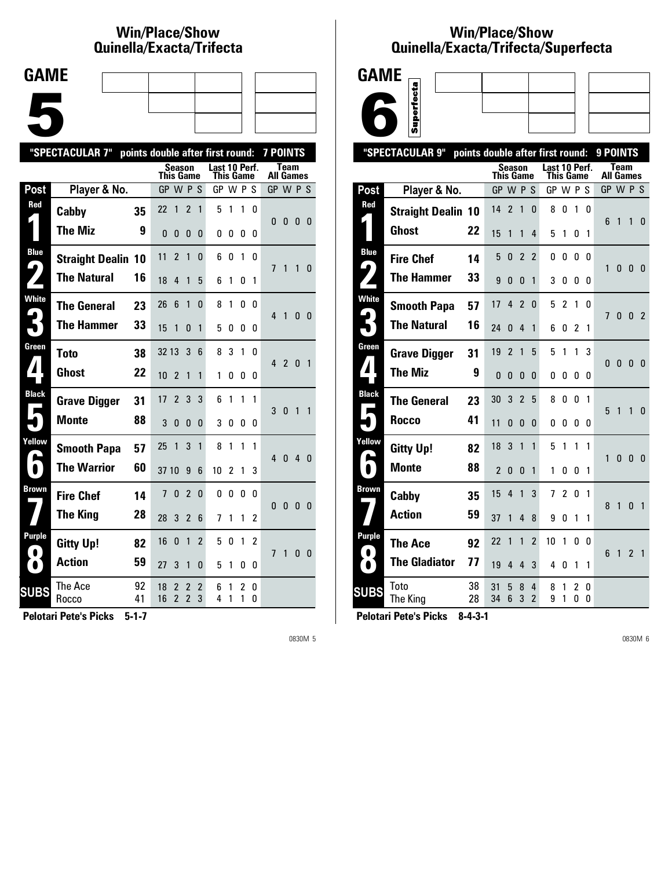# **Win/Place/Show Qui nel la/Exacta/Tri fecta**

| <b>GAME</b> |  |  |
|-------------|--|--|
|             |  |  |
|             |  |  |
|             |  |  |
|             |  |  |
|             |  |  |
|             |  |  |

|                  | "SPECTACULAR 7"           | points double after first round: |                  |                     |                                            |                |                            |             |              | 7 POINTS       |                  |                |                |                |
|------------------|---------------------------|----------------------------------|------------------|---------------------|--------------------------------------------|----------------|----------------------------|-------------|--------------|----------------|------------------|----------------|----------------|----------------|
|                  |                           |                                  | <b>This Game</b> | <b>Season</b>       |                                            |                | Last 10 Perf.<br>This Game |             |              |                | <b>All Games</b> | <b>Team</b>    |                |                |
| Post             | Player & No.              |                                  | GP W P S         |                     |                                            |                | GP W P S                   |             |              |                | GP W P S         |                |                |                |
| Red              | Cabby                     | 35                               | 22               | 1                   | $\overline{c}$                             | 1              | 5                          | 1           | 1            | 0              | 0                | 0              | 0              | - 0            |
|                  | <b>The Miz</b>            | 9                                | 0                | $\mathbf{0}$        | 0                                          | 0              | 0                          | 0           | 0            | 0              |                  |                |                |                |
| <b>Blue</b><br>4 | <b>Straight Dealin 10</b> |                                  | 11               | $\overline{2}$      | 1                                          | 0              | 6                          | 0           | 1            | 0              | 7                | 1              | 1              | 0              |
|                  | <b>The Natural</b>        | 16                               | 18               | 4                   | 1                                          | 5              | 6                          | 1           | 0            | 1              |                  |                |                |                |
| <b>White</b>     | <b>The General</b>        | 23                               | 26               | 6                   | 1                                          | 0              | 8                          | 1           | 0            | 0              | $\overline{4}$   | 1              | 0              | - 0            |
|                  | <b>The Hammer</b>         | 33                               | 15               | 1                   | $\Omega$                                   | 1              | 5                          | 0           | 0            | 0              |                  |                |                |                |
| Green            | <b>Toto</b>               | 38                               | 32 13            |                     | 3                                          | 6              | 8                          | 3           | $\mathbf{1}$ | <sup>0</sup>   | 4                | $\overline{2}$ | $\mathbf{0}$   | $\overline{1}$ |
|                  | <b>Ghost</b>              | 22                               | 10               | $\overline{2}$      | 1                                          | 1              | 1                          | 0           | 0            | 0              |                  |                |                |                |
| <b>Black</b>     | <b>Grave Digger</b>       | 31                               | 17               | $\overline{2}$      | 3                                          | 3              | 6                          | 1           | 1            | 1              | 3                | $\mathbf{0}$   | 1              | $\mathbf{1}$   |
|                  | <b>Monte</b>              | 88                               | 3                | $\mathbf{0}$        | 0                                          | 0              | 3                          | 0           | 0            | 0              |                  |                |                |                |
| Yellow           | <b>Smooth Papa</b>        | 57                               | 25               | 1                   | 3                                          | 1              | 8                          | 1           | 1            | 1              | 40               |                | 4 <sub>0</sub> |                |
| $\bullet$        | <b>The Warrior</b>        | 60                               | 37 10            |                     | 9                                          | 6              | 10                         | 2           | 1            | 3              |                  |                |                |                |
| <b>Brown</b>     | <b>Fire Chef</b>          | 14                               | 7                | $\mathbf{0}$        | $\overline{c}$                             | $\Omega$       | 0                          | $\mathbf 0$ | 0            | 0              | $\Omega$         | $\mathbf{0}$   | $\mathbf{0}$   | - 0            |
|                  | <b>The King</b>           | 28                               | 28               | 3                   | $\overline{2}$                             | 6              | 7                          | 1           | 1            | 2              |                  |                |                |                |
| Purple           | <b>Gitty Up!</b>          | 82                               | 16               | $\mathbf{0}$        | 1                                          | $\overline{2}$ | 5                          | 0           | 1            | $\overline{c}$ | 7                | 1              | 0              | 0              |
| $\bullet$ 1      | <b>Action</b>             | 59                               | 27               | 3                   | 1                                          | 0              | 5                          | 1           | 0            | 0              |                  |                |                |                |
| <b>SUBS</b>      | The Ace<br>Rocco          | 92<br>41                         | 18<br>16         | 2<br>$\overline{2}$ | $\overline{2}$<br>$\overline{\phantom{a}}$ | 2<br>3         | 6<br>4                     | 1<br>1      | 2<br>1       | 0<br>0         |                  |                |                |                |
|                  |                           |                                  |                  |                     |                                            |                |                            |             |              |                |                  |                |                |                |

**Pelotari Pete's Picks 5-1-7**

0830M 5

### **Win/Place/Show Qui nel la/Exacta/Tri fecta/Super fecta**



|                            | "SPECTACULAR 9"           | points double after first round: |                  |                |                |                     |                                   |                |                |        | 9 POINTS       |                          |                |                |
|----------------------------|---------------------------|----------------------------------|------------------|----------------|----------------|---------------------|-----------------------------------|----------------|----------------|--------|----------------|--------------------------|----------------|----------------|
|                            |                           |                                  | <b>This Game</b> | Season         |                |                     | Last 10 Perf.<br><b>This Game</b> |                |                |        |                | Team<br><b>All Games</b> |                |                |
| <b>Post</b>                | Player & No.              |                                  | GP               | W P            |                | -S                  | GP W P S                          |                |                |        | GP W P S       |                          |                |                |
| Red                        | <b>Straight Dealin 10</b> |                                  | 14               | 2              | 1              | 0                   | 8                                 | 0              | 1              | 0      |                |                          |                |                |
|                            | Ghost                     | 22                               | 15               | 1              | 1              | 4                   | 5                                 | 1              | 0              | 1      | 6              | 1                        | 1              | 0              |
| <b>Blue</b>                | <b>Fire Chef</b>          | 14                               | 5                | 0              | $\overline{2}$ | $\overline{2}$      | 0                                 | 0              | 0              | 0      |                |                          |                |                |
| ںا                         | <b>The Hammer</b>         | 33                               | 9                | 0              | 0              | 1                   | 3                                 | 0              | 0              | 0      | 1              | 0                        | 0              | 0              |
| White                      | <b>Smooth Papa</b>        | 57                               | 17               | 4              | $\overline{2}$ | 0                   | 5                                 | $\overline{2}$ | 1              | 0      | $\overline{1}$ | 0                        | $\mathbf{0}$   | -2             |
| 3                          | <b>The Natural</b>        | 16                               | 24               | 0              | 4              | 1                   | 6                                 | 0              | $\mathfrak{p}$ | 1      |                |                          |                |                |
| Green                      | <b>Grave Digger</b>       | 31                               | 19               | $\overline{2}$ | 1              | 5                   | 5                                 | 1              | 1              | 3      | $\mathbf{0}$   | $\mathbf{0}$             | $\mathbf{0}$   | 0              |
| $\blacksquare$             | <b>The Miz</b>            | 9                                | $\mathbf{0}$     | 0              | 0              | 0                   | 0                                 | 0              | 0              | 0      |                |                          |                |                |
| <b>Black</b><br>Е          | <b>The General</b>        | 23                               | 30               | 3              | $\overline{2}$ | 5                   | 8                                 | 0              | $\mathbf{0}$   | 1      | 5              | 1                        | $\mathbf{1}$   | 0              |
|                            | <b>Rocco</b>              | 41                               | 11               | 0              | 0              | 0                   | 0                                 | 0              | 0              | 0      |                |                          |                |                |
| Yellow                     | <b>Gitty Up!</b>          | 82                               | 18               | 3              | 1              | 1                   | 5                                 | 1              | 1              | 1      |                |                          |                |                |
| $\blacksquare$             | Monte                     | 88                               | $\overline{2}$   | 0              | $\Omega$       | 1                   | 1                                 | O              | 0              | 1      | 1              | 0                        | $\mathbf{0}$   | $\mathbf{0}$   |
| Brown                      | Cabby                     | 35                               | 15               | 4              | 1              | 3                   | 7                                 | $\overline{2}$ | 0              | 1      |                |                          |                |                |
|                            | <b>Action</b>             | 59                               | 37               | 1              | 4              | 8                   | 9                                 | 0              | 1              | 1      | 8              | 1                        | $\mathbf{0}$   | $\overline{1}$ |
| <b>Purple</b><br>$\bullet$ | The Ace                   | 92                               | 22               | 1              | 1              | $\overline{2}$      | 10                                | 1              | 0              | 0      | 6              | 1                        | $\overline{2}$ | $\overline{1}$ |
| $\bullet$                  | <b>The Gladiator</b>      | 77                               | 19               | 4              | 4              | 3                   | 4                                 | 0              | 1              | 1      |                |                          |                |                |
| <b>SUBS</b>                | Toto<br>The King          | 38<br>28                         | 31<br>34         | 5<br>6         | 8<br>3         | 4<br>$\overline{2}$ | 8<br>9                            | 1<br>1         | 2<br>0         | 0<br>0 |                |                          |                |                |
|                            |                           |                                  |                  |                |                |                     |                                   |                |                |        |                |                          |                |                |

**Pelotari Pete's Picks 8-4-3-1**